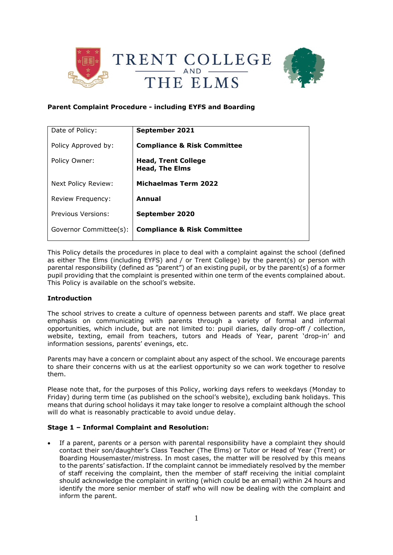



## **Parent Complaint Procedure - including EYFS and Boarding**

| Date of Policy:           | September 2021                                      |
|---------------------------|-----------------------------------------------------|
| Policy Approved by:       | <b>Compliance &amp; Risk Committee</b>              |
| Policy Owner:             | <b>Head, Trent College</b><br><b>Head, The Elms</b> |
| Next Policy Review:       | <b>Michaelmas Term 2022</b>                         |
| Review Frequency:         | Annual                                              |
| <b>Previous Versions:</b> | September 2020                                      |
| Governor Committee(s):    | <b>Compliance &amp; Risk Committee</b>              |

This Policy details the procedures in place to deal with a complaint against the school (defined as either The Elms (including EYFS) and / or Trent College) by the parent(s) or person with parental responsibility (defined as "parent") of an existing pupil, or by the parent(s) of a former pupil providing that the complaint is presented within one term of the events complained about. This Policy is available on the school's website.

## **Introduction**

The school strives to create a culture of openness between parents and staff. We place great emphasis on communicating with parents through a variety of formal and informal opportunities, which include, but are not limited to: pupil diaries, daily drop-off / collection, website, texting, email from teachers, tutors and Heads of Year, parent 'drop-in' and information sessions, parents' evenings, etc.

Parents may have a concern or complaint about any aspect of the school. We encourage parents to share their concerns with us at the earliest opportunity so we can work together to resolve them.

Please note that, for the purposes of this Policy, working days refers to weekdays (Monday to Friday) during term time (as published on the school's website), excluding bank holidays. This means that during school holidays it may take longer to resolve a complaint although the school will do what is reasonably practicable to avoid undue delay.

# **Stage 1 – Informal Complaint and Resolution:**

If a parent, parents or a person with parental responsibility have a complaint they should contact their son/daughter's Class Teacher (The Elms) or Tutor or Head of Year (Trent) or Boarding Housemaster/mistress. In most cases, the matter will be resolved by this means to the parents' satisfaction. If the complaint cannot be immediately resolved by the member of staff receiving the complaint, then the member of staff receiving the initial complaint should acknowledge the complaint in writing (which could be an email) within 24 hours and identify the more senior member of staff who will now be dealing with the complaint and inform the parent.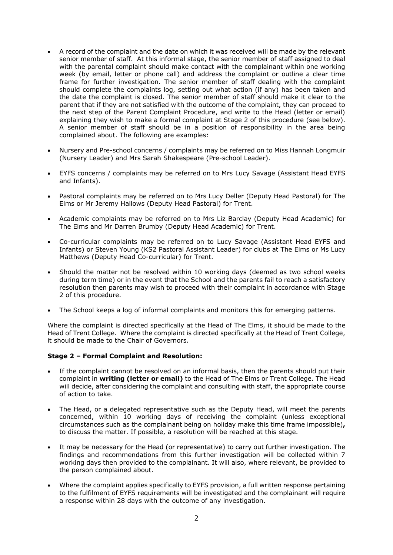- A record of the complaint and the date on which it was received will be made by the relevant senior member of staff. At this informal stage, the senior member of staff assigned to deal with the parental complaint should make contact with the complainant within one working week (by email, letter or phone call) and address the complaint or outline a clear time frame for further investigation. The senior member of staff dealing with the complaint should complete the complaints log, setting out what action (if any) has been taken and the date the complaint is closed. The senior member of staff should make it clear to the parent that if they are not satisfied with the outcome of the complaint, they can proceed to the next step of the Parent Complaint Procedure, and write to the Head (letter or email) explaining they wish to make a formal complaint at Stage 2 of this procedure (see below). A senior member of staff should be in a position of responsibility in the area being complained about. The following are examples:
- Nursery and Pre-school concerns / complaints may be referred on to Miss Hannah Longmuir (Nursery Leader) and Mrs Sarah Shakespeare (Pre-school Leader).
- EYFS concerns / complaints may be referred on to Mrs Lucy Savage (Assistant Head EYFS and Infants).
- Pastoral complaints may be referred on to Mrs Lucy Deller (Deputy Head Pastoral) for The Elms or Mr Jeremy Hallows (Deputy Head Pastoral) for Trent.
- Academic complaints may be referred on to Mrs Liz Barclay (Deputy Head Academic) for The Elms and Mr Darren Brumby (Deputy Head Academic) for Trent.
- Co-curricular complaints may be referred on to Lucy Savage (Assistant Head EYFS and Infants) or Steven Young (KS2 Pastoral Assistant Leader) for clubs at The Elms or Ms Lucy Matthews (Deputy Head Co-curricular) for Trent.
- Should the matter not be resolved within 10 working days (deemed as two school weeks during term time) or in the event that the School and the parents fail to reach a satisfactory resolution then parents may wish to proceed with their complaint in accordance with Stage 2 of this procedure.
- The School keeps a log of informal complaints and monitors this for emerging patterns.

Where the complaint is directed specifically at the Head of The Elms, it should be made to the Head of Trent College. Where the complaint is directed specifically at the Head of Trent College, it should be made to the Chair of Governors.

#### **Stage 2 – Formal Complaint and Resolution:**

- If the complaint cannot be resolved on an informal basis, then the parents should put their complaint in **writing (letter or email)** to the Head of The Elms or Trent College. The Head will decide, after considering the complaint and consulting with staff, the appropriate course of action to take.
- The Head, or a delegated representative such as the Deputy Head, will meet the parents concerned, within 10 working days of receiving the complaint (unless exceptional circumstances such as the complainant being on holiday make this time frame impossible)**,**  to discuss the matter. If possible, a resolution will be reached at this stage.
- It may be necessary for the Head (or representative) to carry out further investigation. The findings and recommendations from this further investigation will be collected within 7 working days then provided to the complainant. It will also, where relevant, be provided to the person complained about.
- Where the complaint applies specifically to EYFS provision, a full written response pertaining to the fulfilment of EYFS requirements will be investigated and the complainant will require a response within 28 days with the outcome of any investigation.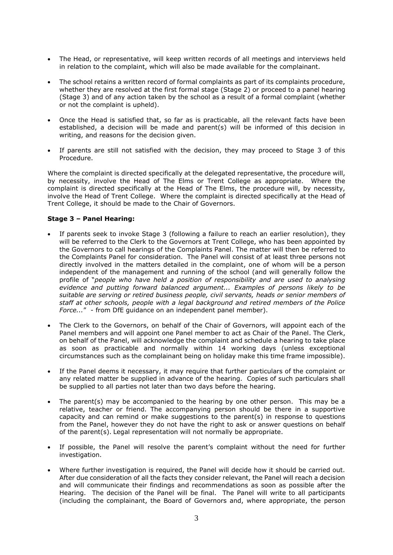- The Head, or representative, will keep written records of all meetings and interviews held in relation to the complaint, which will also be made available for the complainant.
- The school retains a written record of formal complaints as part of its complaints procedure, whether they are resolved at the first formal stage (Stage 2) or proceed to a panel hearing (Stage 3) and of any action taken by the school as a result of a formal complaint (whether or not the complaint is upheld).
- Once the Head is satisfied that, so far as is practicable, all the relevant facts have been established, a decision will be made and parent(s) will be informed of this decision in writing, and reasons for the decision given.
- If parents are still not satisfied with the decision, they may proceed to Stage 3 of this Procedure.

Where the complaint is directed specifically at the delegated representative, the procedure will, by necessity, involve the Head of The Elms or Trent College as appropriate. Where the complaint is directed specifically at the Head of The Elms, the procedure will, by necessity, involve the Head of Trent College. Where the complaint is directed specifically at the Head of Trent College, it should be made to the Chair of Governors.

## **Stage 3 – Panel Hearing:**

- If parents seek to invoke Stage 3 (following a failure to reach an earlier resolution), they will be referred to the Clerk to the Governors at Trent College, who has been appointed by the Governors to call hearings of the Complaints Panel. The matter will then be referred to the Complaints Panel for consideration. The Panel will consist of at least three persons not directly involved in the matters detailed in the complaint, one of whom will be a person independent of the management and running of the school (and will generally follow the profile of "*people who have held a position of responsibility and are used to analysing evidence and putting forward balanced argument... Examples of persons likely to be suitable are serving or retired business people, civil servants, heads or senior members of staff at other schools, people with a legal background and retired members of the Police Force...*" - from DfE guidance on an independent panel member).
- The Clerk to the Governors, on behalf of the Chair of Governors, will appoint each of the Panel members and will appoint one Panel member to act as Chair of the Panel. The Clerk, on behalf of the Panel, will acknowledge the complaint and schedule a hearing to take place as soon as practicable and normally within 14 working days (unless exceptional circumstances such as the complainant being on holiday make this time frame impossible).
- If the Panel deems it necessary, it may require that further particulars of the complaint or any related matter be supplied in advance of the hearing. Copies of such particulars shall be supplied to all parties not later than two days before the hearing.
- The parent(s) may be accompanied to the hearing by one other person. This may be a relative, teacher or friend. The accompanying person should be there in a supportive capacity and can remind or make suggestions to the parent(s) in response to questions from the Panel, however they do not have the right to ask or answer questions on behalf of the parent(s). Legal representation will not normally be appropriate.
- If possible, the Panel will resolve the parent's complaint without the need for further investigation.
- Where further investigation is required, the Panel will decide how it should be carried out. After due consideration of all the facts they consider relevant, the Panel will reach a decision and will communicate their findings and recommendations as soon as possible after the Hearing. The decision of the Panel will be final. The Panel will write to all participants (including the complainant, the Board of Governors and, where appropriate, the person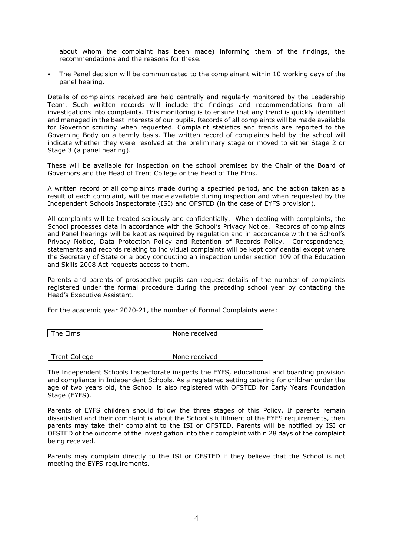about whom the complaint has been made) informing them of the findings, the recommendations and the reasons for these.

• The Panel decision will be communicated to the complainant within 10 working days of the panel hearing.

Details of complaints received are held centrally and regularly monitored by the Leadership Team. Such written records will include the findings and recommendations from all investigations into complaints. This monitoring is to ensure that any trend is quickly identified and managed in the best interests of our pupils. Records of all complaints will be made available for Governor scrutiny when requested. Complaint statistics and trends are reported to the Governing Body on a termly basis. The written record of complaints held by the school will indicate whether they were resolved at the preliminary stage or moved to either Stage 2 or Stage 3 (a panel hearing).

These will be available for inspection on the school premises by the Chair of the Board of Governors and the Head of Trent College or the Head of The Elms.

A written record of all complaints made during a specified period, and the action taken as a result of each complaint, will be made available during inspection and when requested by the Independent Schools Inspectorate (ISI) and OFSTED (in the case of EYFS provision).

All complaints will be treated seriously and confidentially. When dealing with complaints, the School processes data in accordance with the School's Privacy Notice. Records of complaints and Panel hearings will be kept as required by regulation and in accordance with the School's Privacy Notice, Data Protection Policy and Retention of Records Policy. Correspondence, statements and records relating to individual complaints will be kept confidential except where the Secretary of State or a body conducting an inspection under section 109 of the Education and Skills 2008 Act requests access to them.

Parents and parents of prospective pupils can request details of the number of complaints registered under the formal procedure during the preceding school year by contacting the Head's Executive Assistant.

For the academic year 2020-21, the number of Formal Complaints were:

| The Elms      | None received |
|---------------|---------------|
|               |               |
|               |               |
| Trent College | None received |

The Independent Schools Inspectorate inspects the EYFS, educational and boarding provision and compliance in Independent Schools. As a registered setting catering for children under the age of two years old, the School is also registered with OFSTED for Early Years Foundation Stage (EYFS).

Parents of EYFS children should follow the three stages of this Policy. If parents remain dissatisfied and their complaint is about the School's fulfilment of the EYFS requirements, then parents may take their complaint to the ISI or OFSTED. Parents will be notified by ISI or OFSTED of the outcome of the investigation into their complaint within 28 days of the complaint being received.

Parents may complain directly to the ISI or OFSTED if they believe that the School is not meeting the EYFS requirements.